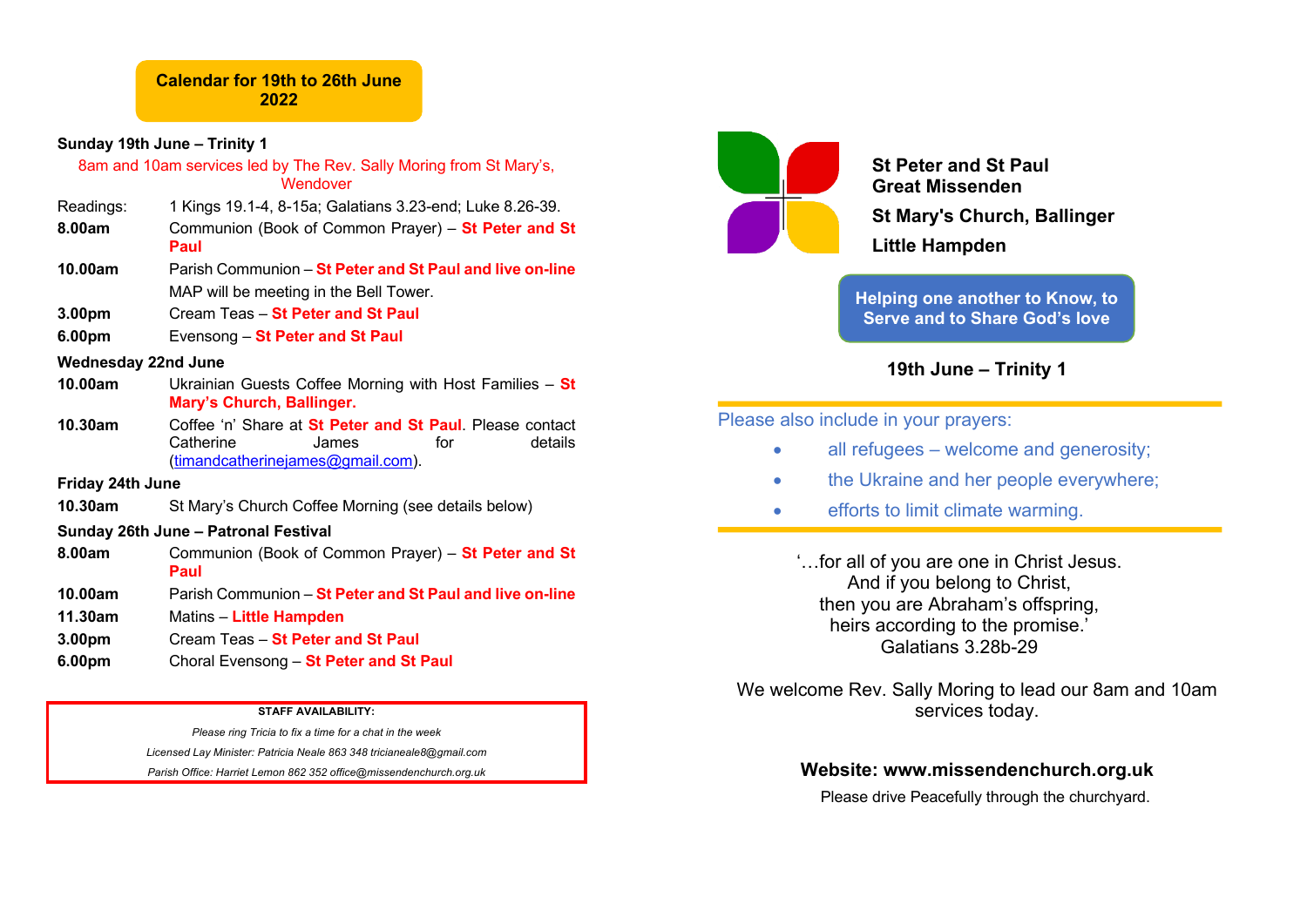## **Sunday 19th June – Trinity 1**

# 8am and 10am services led by The Rev. Sally Moring from St Mary's, **Wendover** Readings: 1 Kings 19.1-4, 8-15a; Galatians 3.23-end; Luke 8.26-39. **8.00am** Communion (Book of Common Prayer) – **St Peter and St Paul 10.00am** Parish Communion – **St Peter and St Paul and live on-line** MAP will be meeting in the Bell Tower. **3.00pm** Cream Teas – **St Peter and St Paul 6.00pm** Evensong – **St Peter and St Paul Wednesday 22nd June 10.00am** Ukrainian Guests Coffee Morning with Host Families – **St Mary's Church, Ballinger. 10.30am** Coffee 'n' Share at **St Peter and St Paul**. Please contact Catherine James for details (timandcatherinejames@gmail.com). **Friday 24th June 10.30am** St Mary's Church Coffee Morning (see details below) **Sunday 26th June – Patronal Festival 8.00am** Communion (Book of Common Prayer) – **St Peter and St Paul 10.00am** Parish Communion – **St Peter and St Paul and live on-line 11.30am** Matins – **Little Hampden 3.00pm** Cream Teas – **St Peter and St Paul 6.00pm** Choral Evensong – **St Peter and St Paul**

**STAFF AVAILABILITY:**

*Please ring Tricia to fix a time for a chat in the week Licensed Lay Minister: Patricia Neale 863 348 tricianeale8@gmail.com Parish Office: Harriet Lemon 862 352 office@missendenchurch.org.uk*



**St Peter and St Paul Great Missenden St Mary's Church, Ballinger Little Hampden**

**Helping one another to Know, to Serve and to Share God's love**

**19th June – Trinity 1**

Please also include in your prayers:

- all refugees welcome and generosity;
- the Ukraine and her people everywhere:
- efforts to limit climate warming.

'…for all of you are one in Christ Jesus. And if you belong to Christ, then you are Abraham's offspring, heirs according to the promise.' Galatians 3.28b-29

We welcome Rev. Sally Moring to lead our 8am and 10am services today.

## **Website: www.missendenchurch.org.uk**

Please drive Peacefully through the churchyard.